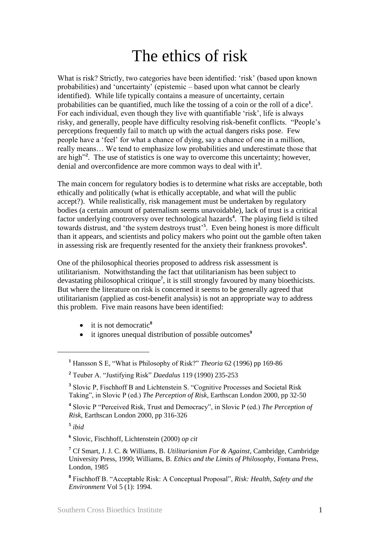## The ethics of risk

What is risk? Strictly, two categories have been identified: 'risk' (based upon known probabilities) and "uncertainty" (epistemic – based upon what cannot be clearly identified). While life typically contains a measure of uncertainty, certain probabilities can be quantified, much like the tossing of a coin or the roll of a dice<sup>1</sup>. For each individual, even though they live with quantifiable "risk", life is always risky, and generally, people have difficulty resolving risk-benefit conflicts. "People"s perceptions frequently fail to match up with the actual dangers risks pose. Few people have a "feel" for what a chance of dying, say a chance of one in a million, really means… We tend to emphasize low probabilities and underestimate those that are high<sup>22</sup>. The use of statistics is one way to overcome this uncertainty; however, denial and overconfidence are more common ways to deal with it**<sup>3</sup>** .

The main concern for regulatory bodies is to determine what risks are acceptable, both ethically and politically (what is ethically acceptable, and what will the public accept?). While realistically, risk management must be undertaken by regulatory bodies (a certain amount of paternalism seems unavoidable), lack of trust is a critical factor underlying controversy over technological hazards**<sup>4</sup>** . The playing field is tilted towards distrust, and 'the system destroys trust'<sup>5</sup>. Even being honest is more difficult than it appears, and scientists and policy makers who point out the gamble often taken in assessing risk are frequently resented for the anxiety their frankness provokes**<sup>6</sup>** .

One of the philosophical theories proposed to address risk assessment is utilitarianism. Notwithstanding the fact that utilitarianism has been subject to devastating philosophical critique**<sup>7</sup>** , it is still strongly favoured by many bioethicists. But where the literature on risk is concerned it seems to be generally agreed that utilitarianism (applied as cost-benefit analysis) is not an appropriate way to address this problem. Five main reasons have been identified:

- it is not democratic**<sup>8</sup>**
- it ignores unequal distribution of possible outcomes**<sup>9</sup>**

**5** *ibid*

**<sup>1</sup>** Hansson S E, "What is Philosophy of Risk?" *Theoria* 62 (1996) pp 169-86

**<sup>2</sup>** Teuber A. "Justifying Risk" *Daedalus* 119 (1990) 235-253

<sup>&</sup>lt;sup>3</sup> Slovic P, Fischhoff B and Lichtenstein S. "Cognitive Processes and Societal Risk Taking", in Slovic P (ed.) *The Perception of Risk*, Earthscan London 2000, pp 32-50

**<sup>4</sup>** Slovic P "Perceived Risk, Trust and Democracy", in Slovic P (ed.) *The Perception of Risk*, Earthscan London 2000, pp 316-326

**<sup>6</sup>** Slovic, Fischhoff, Lichtenstein (2000) *op cit*

**<sup>7</sup>** Cf Smart, J. J. C. & Williams, B. *Utilitarianism For & Against*, Cambridge, Cambridge University Press, 1990; Williams, B. *Ethics and the Limits of Philosophy*, Fontana Press, London, 1985

**<sup>8</sup>** Fischhoff B. "Acceptable Risk: A Conceptual Proposal", *Risk: Health, Safety and the Environment* Vol 5 (1): 1994.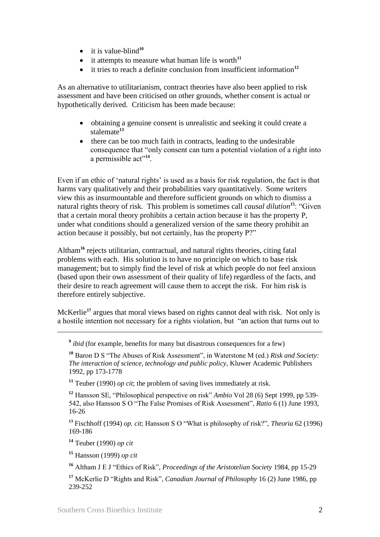- $\bullet$  it is value-blind<sup>10</sup>
- $\bullet$  it attempts to measure what human life is worth<sup>11</sup>
- it tries to reach a definite conclusion from insufficient information**<sup>12</sup>**

As an alternative to utilitarianism, contract theories have also been applied to risk assessment and have been criticised on other grounds, whether consent is actual or hypothetically derived. Criticism has been made because:

- obtaining a genuine consent is unrealistic and seeking it could create a stalemate**<sup>13</sup>**
- there can be too much faith in contracts, leading to the undesirable consequence that "only consent can turn a potential violation of a right into a permissible act"<sup>14</sup>.

Even if an ethic of 'natural rights' is used as a basis for risk regulation, the fact is that harms vary qualitatively and their probabilities vary quantitatively. Some writers view this as insurmountable and therefore sufficient grounds on which to dismiss a natural rights theory of risk. This problem is sometimes call *causal dilution***<sup>15</sup>**: "Given that a certain moral theory prohibits a certain action because it has the property P, under what conditions should a generalized version of the same theory prohibit an action because it possibly, but not certainly, has the property P?"

Altham**<sup>16</sup>** rejects utilitarian, contractual, and natural rights theories, citing fatal problems with each. His solution is to have no principle on which to base risk management; but to simply find the level of risk at which people do not feel anxious (based upon their own assessment of their quality of life) regardless of the facts, and their desire to reach agreement will cause them to accept the risk. For him risk is therefore entirely subjective.

McKerlie**<sup>17</sup>** argues that moral views based on rights cannot deal with risk. Not only is a hostile intention not necessary for a rights violation, but "an action that turns out to

**<sup>11</sup>** Teuber (1990) *op cit*; the problem of saving lives immediately at risk.

**<sup>12</sup>** Hansson SE, "Philosophical perspective on risk" *Ambio* Vol 28 (6) Sept 1999, pp 539- 542, also Hansson S O "The False Promises of Risk Assessment", *Ratio* 6 (1) June 1993, 16-26

**<sup>13</sup>** Fischhoff (1994) *op. cit*; Hansson S O "What is philosophy of risk?", *Theoria* 62 (1996) 169-186

**<sup>14</sup>** Teuber (1990) *op cit*

<u>.</u>

**<sup>15</sup>** Hansson (1999) *op cit*

**<sup>16</sup>** Altham J E J "Ethics of Risk", *Proceedings of the Aristotelian Society* 1984, pp 15-29

**<sup>17</sup>** McKerlie D "Rights and Risk", *Canadian Journal of Philosophy* 16 (2) June 1986, pp 239-252

<sup>&</sup>lt;sup>9</sup> *ibid* (for example, benefits for many but disastrous consequences for a few)

**<sup>10</sup>** Baron D S "The Abuses of Risk Assessment", in Waterstone M (ed.) *Risk and Society: The interaction of science, technology and public policy*, Kluwer Academic Publishers 1992, pp 173-1778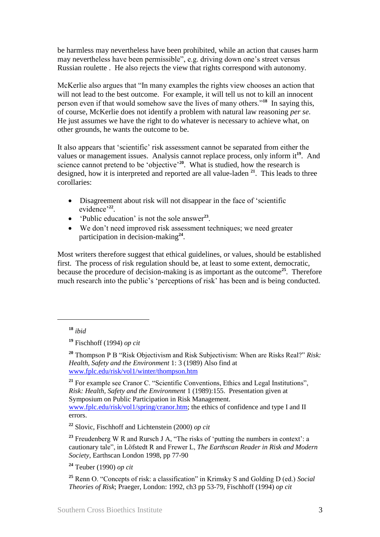be harmless may nevertheless have been prohibited, while an action that causes harm may nevertheless have been permissible", e.g. driving down one"s street versus Russian roulette . He also rejects the view that rights correspond with autonomy.

McKerlie also argues that "In many examples the rights view chooses an action that will not lead to the best outcome. For example, it will tell us not to kill an innocent person even if that would somehow save the lives of many others."**<sup>18</sup>** In saying this, of course, McKerlie does not identify a problem with natural law reasoning *per se*. He just assumes we have the right to do whatever is necessary to achieve what, on other grounds, he wants the outcome to be.

It also appears that "scientific" risk assessment cannot be separated from either the values or management issues. Analysis cannot replace process, only inform it**<sup>19</sup>**. And science cannot pretend to be 'objective'<sup>20</sup>. What is studied, how the research is designed, how it is interpreted and reported are all value-laden **<sup>21</sup>**. This leads to three corollaries:

- Disagreement about risk will not disappear in the face of "scientific evidence'<sup>22</sup>.
- 'Public education' is not the sole answer<sup>23</sup>.
- We don"t need improved risk assessment techniques; we need greater participation in decision-making**<sup>24</sup>** .

Most writers therefore suggest that ethical guidelines, or values, should be established first. The process of risk regulation should be, at least to some extent, democratic, because the procedure of decision-making is as important as the outcome**<sup>25</sup>**. Therefore much research into the public's 'perceptions of risk' has been and is being conducted.

1

<sup>21</sup> For example see Cranor C. "Scientific Conventions, Ethics and Legal Institutions", *Risk: Health, Safety and the Environment* 1 (1989):155. Presentation given at Symposium on Public Participation in Risk Management. [www.fplc.edu/risk/vol1/spring/cranor.htm;](http://www.fplc.edu/risk/vol1/spring/cranor.htm) the ethics of confidence and type I and II errors.

**<sup>22</sup>** Slovic, Fischhoff and Lichtenstein (2000) *op cit*

<sup>23</sup> Freudenberg W R and Rursch J A, "The risks of 'putting the numbers in context': a cautionary tale", in Löfstedt R and Frewer L, *The Earthscan Reader in Risk and Modern Society*, Earthscan London 1998, pp 77-90

**<sup>24</sup>** Teuber (1990) *op cit*

**<sup>25</sup>** Renn O. "Concepts of risk: a classification" in Krimsky S and Golding D (ed.) *Social Theories of Risk*; Praeger, London: 1992, ch3 pp 53-79, Fischhoff (1994) *op cit*

**<sup>18</sup>** *ibid*

**<sup>19</sup>** Fischhoff (1994) *op cit*

**<sup>20</sup>** Thompson P B "Risk Objectivism and Risk Subjectivism: When are Risks Real?" *Risk: Health, Safety and the Environment* 1: 3 (1989) Also find at [www.fplc.edu/risk/vol1/winter/thompson.htm](http://www.fplc.edu/risk/vol1/winter/thompson.htm)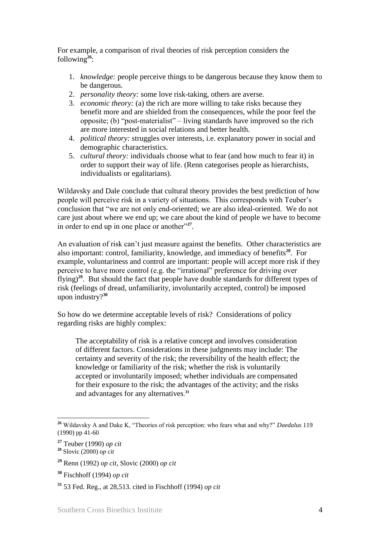For example, a comparison of rival theories of risk perception considers the following**<sup>26</sup>**:

- 1. *knowledge:* people perceive things to be dangerous because they know them to be dangerous.
- 2. *personality theory:* some love risk-taking, others are averse.
- 3. *economic theory:* (a) the rich are more willing to take risks because they benefit more and are shielded from the consequences, while the poor feel the opposite; (b) "post-materialist" – living standards have improved so the rich are more interested in social relations and better health.
- 4. *political theory:* struggles over interests, i.e. explanatory power in social and demographic characteristics.
- 5. *cultural theory:* individuals choose what to fear (and how much to fear it) in order to support their way of life. (Renn categorises people as hierarchists, individualists or egalitarians).

Wildavsky and Dale conclude that cultural theory provides the best prediction of how people will perceive risk in a variety of situations. This corresponds with Teuber"s conclusion that "we are not only end-oriented; we are also ideal-oriented. We do not care just about where we end up; we care about the kind of people we have to become in order to end up in one place or another"**<sup>27</sup>** .

An evaluation of risk can't just measure against the benefits. Other characteristics are also important: control, familiarity, knowledge, and immediacy of benefits**<sup>28</sup>**. For example, voluntariness and control are important: people will accept more risk if they perceive to have more control (e.g. the "irrational" preference for driving over flying)**<sup>29</sup>**. But should the fact that people have double standards for different types of risk (feelings of dread, unfamiliarity, involuntarily accepted, control) be imposed upon industry?**<sup>30</sup>**

So how do we determine acceptable levels of risk? Considerations of policy regarding risks are highly complex:

The acceptability of risk is a relative concept and involves consideration of different factors. Considerations in these judgments may include: The certainty and severity of the risk; the reversibility of the health effect; the knowledge or familiarity of the risk; whether the risk is voluntarily accepted or involuntarily imposed; whether individuals are compensated for their exposure to the risk; the advantages of the activity; and the risks and advantages for any alternatives. **31**

<sup>1</sup> **<sup>26</sup>** Wildavsky A and Dake K, "Theories of risk perception: who fears what and why?" *Daedalus* 119 (1990) pp 41-60

**<sup>27</sup>** Teuber (1990) *op cit*

**<sup>28</sup>** Slovic (2000) *op cit*

**<sup>29</sup>** Renn (1992) *op cit*, Slovic (2000) *op cit*

**<sup>30</sup>** Fischhoff (1994) *op cit*

**<sup>31</sup>** 53 Fed. Reg., at 28,513. cited in Fischhoff (1994) *op cit*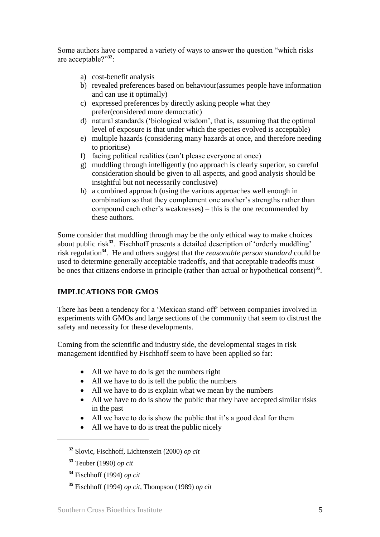Some authors have compared a variety of ways to answer the question "which risks are acceptable?"**<sup>32</sup>**:

- a) cost-benefit analysis
- b) revealed preferences based on behaviour(assumes people have information and can use it optimally)
- c) expressed preferences by directly asking people what they prefer(considered more democratic)
- d) natural standards ("biological wisdom", that is, assuming that the optimal level of exposure is that under which the species evolved is acceptable)
- e) multiple hazards (considering many hazards at once, and therefore needing to prioritise)
- f) facing political realities (can"t please everyone at once)
- g) muddling through intelligently (no approach is clearly superior, so careful consideration should be given to all aspects, and good analysis should be insightful but not necessarily conclusive)
- h) a combined approach (using the various approaches well enough in combination so that they complement one another's strengths rather than compound each other"s weaknesses) – this is the one recommended by these authors.

Some consider that muddling through may be the only ethical way to make choices about public risk<sup>33</sup>. Fischhoff presents a detailed description of 'orderly muddling' risk regulation**<sup>34</sup>**. He and others suggest that the *reasonable person standard* could be used to determine generally acceptable tradeoffs, and that acceptable tradeoffs must be ones that citizens endorse in principle (rather than actual or hypothetical consent)<sup>35</sup>.

## **IMPLICATIONS FOR GMOS**

There has been a tendency for a "Mexican stand-off" between companies involved in experiments with GMOs and large sections of the community that seem to distrust the safety and necessity for these developments.

Coming from the scientific and industry side, the developmental stages in risk management identified by Fischhoff seem to have been applied so far:

- All we have to do is get the numbers right
- All we have to do is tell the public the numbers
- All we have to do is explain what we mean by the numbers
- All we have to do is show the public that they have accepted similar risks in the past
- All we have to do is show the public that it's a good deal for them
- All we have to do is treat the public nicely

**<sup>32</sup>** Slovic, Fischhoff, Lichtenstein (2000) *op cit*

**<sup>33</sup>** Teuber (1990) *op cit*

**<sup>34</sup>** Fischhoff (1994) *op cit*

**<sup>35</sup>** Fischhoff (1994) *op cit*, Thompson (1989) *op cit*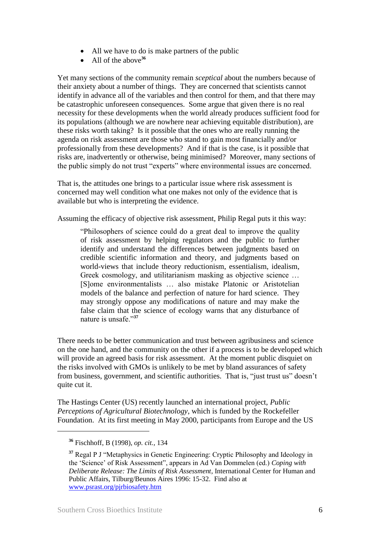- All we have to do is make partners of the public
- All of the above<sup>36</sup>

Yet many sections of the community remain *sceptical* about the numbers because of their anxiety about a number of things. They are concerned that scientists cannot identify in advance all of the variables and then control for them, and that there may be catastrophic unforeseen consequences. Some argue that given there is no real necessity for these developments when the world already produces sufficient food for its populations (although we are nowhere near achieving equitable distribution), are these risks worth taking? Is it possible that the ones who are really running the agenda on risk assessment are those who stand to gain most financially and/or professionally from these developments? And if that is the case, is it possible that risks are, inadvertently or otherwise, being minimised? Moreover, many sections of the public simply do not trust "experts" where environmental issues are concerned.

That is, the attitudes one brings to a particular issue where risk assessment is concerned may well condition what one makes not only of the evidence that is available but who is interpreting the evidence.

Assuming the efficacy of objective risk assessment, Philip Regal puts it this way:

"Philosophers of science could do a great deal to improve the quality of risk assessment by helping regulators and the public to further identify and understand the differences between judgments based on credible scientific information and theory, and judgments based on world-views that include theory reductionism, essentialism, idealism, Greek cosmology, and utilitarianism masking as objective science … [S]ome environmentalists … also mistake Platonic or Aristotelian models of the balance and perfection of nature for hard science. They may strongly oppose any modifications of nature and may make the false claim that the science of ecology warns that any disturbance of nature is unsafe."**<sup>37</sup>**

There needs to be better communication and trust between agribusiness and science on the one hand, and the community on the other if a process is to be developed which will provide an agreed basis for risk assessment. At the moment public disquiet on the risks involved with GMOs is unlikely to be met by bland assurances of safety from business, government, and scientific authorities. That is, "just trust us" doesn"t quite cut it.

The Hastings Center (US) recently launched an international project, *Public Perceptions of Agricultural Biotechnology*, which is funded by the Rockefeller Foundation. At its first meeting in May 2000, participants from Europe and the US

**<sup>36</sup>** Fischhoff, B (1998), *op. cit.,* 134

**<sup>37</sup>** Regal P J "Metaphysics in Genetic Engineering: Cryptic Philosophy and Ideology in the "Science" of Risk Assessment", appears in Ad Van Dommelen (ed.) *Coping with Deliberate Release: The Limits of Risk Assessment*, International Center for Human and Public Affairs, Tilburg/Beunos Aires 1996: 15-32. Find also at [www.psrast.org/pjrbiosafety.htm](http://www.psrast.org/pjrbiosafety.htm)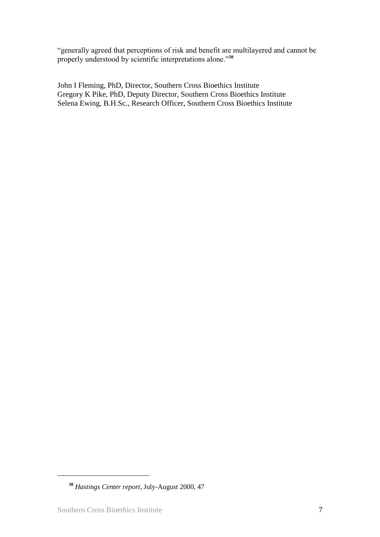"generally agreed that perceptions of risk and benefit are multilayered and cannot be properly understood by scientific interpretations alone."**<sup>38</sup>**

John I Fleming, PhD, Director, Southern Cross Bioethics Institute Gregory K Pike, PhD, Deputy Director, Southern Cross Bioethics Institute Selena Ewing, B.H.Sc., Research Officer, Southern Cross Bioethics Institute

**<sup>38</sup>** *Hastings Center report*, July-August 2000, 47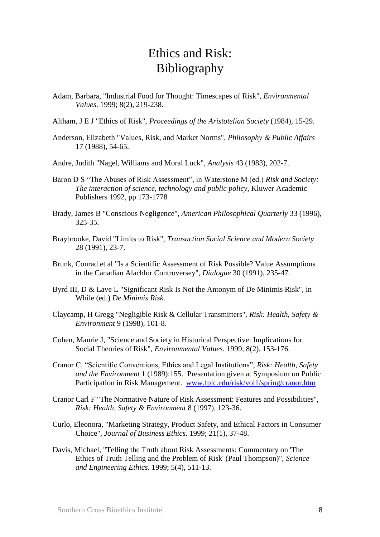## Ethics and Risk: Bibliography

- Adam, Barbara, "Industrial Food for Thought: Timescapes of Risk", *Environmental Values*. 1999; 8(2), 219-238.
- Altham, J E J "Ethics of Risk", *Proceedings of the Aristotelian Society* (1984), 15-29.
- Anderson, Elizabeth "Values, Risk, and Market Norms", *Philosophy & Public Affairs* 17 (1988), 54-65.
- Andre, Judith "Nagel, Williams and Moral Luck", *Analysis* 43 (1983), 202-7.
- Baron D S "The Abuses of Risk Assessment", in Waterstone M (ed.) *Risk and Society: The interaction of science, technology and public policy*, Kluwer Academic Publishers 1992, pp 173-1778
- Brady, James B "Conscious Negligence", *American Philosophical Quarterly* 33 (1996), 325-35.
- Braybrooke, David "Limits to Risk", *Transaction Social Science and Modern Society* 28 (1991), 23-7.
- Brunk, Conrad et al "Is a Scientific Assessment of Risk Possible? Value Assumptions in the Canadian Alachlor Controversey", *Dialogue* 30 (1991), 235-47.
- Byrd III, D & Lave L "Significant Risk Is Not the Antonym of De Minimis Risk", in While (ed.) *De Minimis Risk*.
- Claycamp, H Gregg "Negligible Risk & Cellular Transmitters", *Risk: Health, Safety & Environment* 9 (1998), 101-8.
- Cohen, Maurie J, "Science and Society in Historical Perspective: Implications for Social Theories of Risk", *Environmental Values*. 1999; 8(2), 153-176.
- Cranor C. "Scientific Conventions, Ethics and Legal Institutions", *Risk: Health, Safety and the Environment* 1 (1989):155. Presentation given at Symposium on Public Participation in Risk Management. [www.fplc.edu/risk/vol1/spring/cranor.htm](http://www.fplc.edu/risk/vol1/spring/cranor.htm)
- Cranor Carl F "The Normative Nature of Risk Assessment: Features and Possibilities", *Risk: Health, Safety & Environment* 8 (1997), 123-36.
- Curlo, Eleonora, "Marketing Strategy, Product Safety, and Ethical Factors in Consumer Choice", *Journal of Business Ethics*. 1999; 21(1), 37-48.
- Davis, Michael, "Telling the Truth about Risk Assessments: Commentary on 'The Ethics of Truth Telling and the Problem of Risk' (Paul Thompson)", *Science and Engineering Ethics*. 1999; 5(4), 511-13.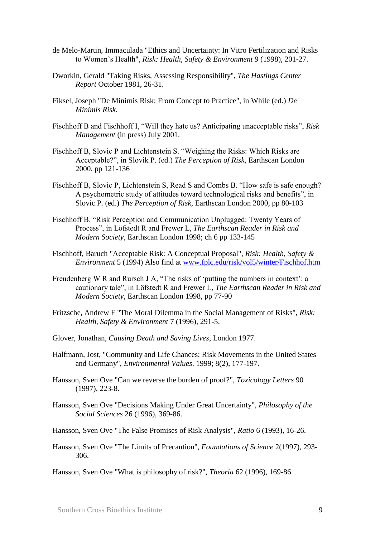- de Melo-Martin, Immaculada "Ethics and Uncertainty: In Vitro Fertilization and Risks to Women"s Health", *Risk: Health, Safety & Environment* 9 (1998), 201-27.
- Dworkin, Gerald "Taking Risks, Assessing Responsibility", *The Hastings Center Report* October 1981, 26-31.
- Fiksel, Joseph "De Minimis Risk: From Concept to Practice", in While (ed.) *De Minimis Risk*.
- Fischhoff B and Fischhoff I, "Will they hate us? Anticipating unacceptable risks", *Risk Management* (in press) July 2001.
- Fischhoff B, Slovic P and Lichtenstein S. "Weighing the Risks: Which Risks are Acceptable?", in Slovik P. (ed.) *The Perception of Risk*, Earthscan London 2000, pp 121-136
- Fischhoff B, Slovic P, Lichtenstein S, Read S and Combs B. "How safe is safe enough? A psychometric study of attitudes toward technological risks and benefits", in Slovic P. (ed.) *The Perception of Risk*, Earthscan London 2000, pp 80-103
- Fischhoff B. "Risk Perception and Communication Unplugged: Twenty Years of Process", in Löfstedt R and Frewer L, *The Earthscan Reader in Risk and Modern Society,* Earthscan London 1998; ch 6 pp 133-145
- Fischhoff, Baruch "Acceptable Risk: A Conceptual Proposal", *Risk: Health, Safety & Environment* 5 (1994) Also find at [www.fplc.edu/risk/vol5/winter/Fischhof.htm](http://www.fplc.edu/risk/vol5/winter/Fischhof.htm)
- Freudenberg W R and Rursch J A, "The risks of 'putting the numbers in context': a cautionary tale", in Löfstedt R and Frewer L, *The Earthscan Reader in Risk and Modern Society*, Earthscan London 1998, pp 77-90
- Fritzsche, Andrew F "The Moral Dilemma in the Social Management of Risks", *Risk: Health, Safety & Environment* 7 (1996), 291-5.
- Glover, Jonathan, *Causing Death and Saving Lives*, London 1977.
- Halfmann, Jost, "Community and Life Chances: Risk Movements in the United States and Germany", *Environmental Values*. 1999; 8(2), 177-197.
- Hansson, Sven Ove "Can we reverse the burden of proof?", *Toxicology Letters* 90 (1997), 223-8.
- Hansson, Sven Ove "Decisions Making Under Great Uncertainty", *Philosophy of the Social Sciences* 26 (1996), 369-86.
- Hansson, Sven Ove "The False Promises of Risk Analysis", *Ratio* 6 (1993), 16-26.
- Hansson, Sven Ove "The Limits of Precaution", *Foundations of Science* 2(1997), 293- 306.

Hansson, Sven Ove "What is philosophy of risk?", *Theoria* 62 (1996), 169-86.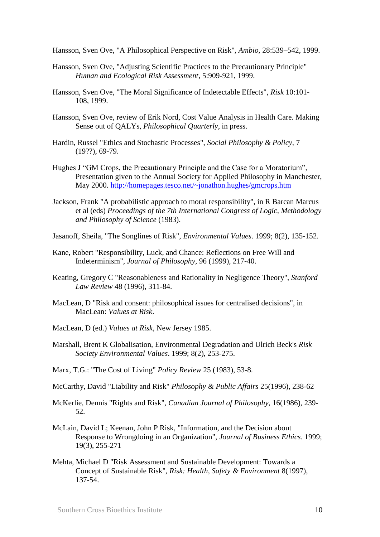Hansson, Sven Ove, "A Philosophical Perspective on Risk", *Ambio*, 28:539–542, 1999.

- Hansson, Sven Ove, "Adjusting Scientific Practices to the Precautionary Principle" *Human and Ecological Risk Assessment*, 5:909-921, 1999.
- Hansson, Sven Ove, "The Moral Significance of Indetectable Effects", *Risk* 10:101- 108, 1999.
- Hansson, Sven Ove, review of Erik Nord, Cost Value Analysis in Health Care. Making Sense out of QALYs, *Philosophical Quarterly*, in press.
- Hardin, Russel "Ethics and Stochastic Processes", *Social Philosophy & Policy*, 7 (19??), 69-79.
- Hughes J "GM Crops, the Precautionary Principle and the Case for a Moratorium", Presentation given to the Annual Society for Applied Philosophy in Manchester, May 2000.<http://homepages.tesco.net/~jonathon.hughes/gmcrops.htm>
- Jackson, Frank "A probabilistic approach to moral responsibility", in R Barcan Marcus et al (eds) *Proceedings of the 7th International Congress of Logic, Methodology and Philosophy of Science* (1983).
- Jasanoff, Sheila, "The Songlines of Risk", *Environmental Values*. 1999; 8(2), 135-152.
- Kane, Robert "Responsibility, Luck, and Chance: Reflections on Free Will and Indeterminism", *Journal of Philosophy*, 96 (1999), 217-40.
- Keating, Gregory C "Reasonableness and Rationality in Negligence Theory", *Stanford Law Review* 48 (1996), 311-84.
- MacLean, D "Risk and consent: philosophical issues for centralised decisions", in MacLean: *Values at Risk*.
- MacLean, D (ed.) *Values at Risk*, New Jersey 1985.
- Marshall, Brent K Globalisation, Environmental Degradation and Ulrich Beck's *Risk Society Environmental Values*. 1999; 8(2), 253-275.
- Marx, T.G.: "The Cost of Living" *Policy Review* 25 (1983), 53-8.
- McCarthy, David "Liability and Risk" *Philosophy & Public Affairs* 25(1996), 238-62
- McKerlie, Dennis "Rights and Risk", *Canadian Journal of Philosophy*, 16(1986), 239- 52.
- McLain, David L; Keenan, John P Risk, "Information, and the Decision about Response to Wrongdoing in an Organization", *Journal of Business Ethics*. 1999; 19(3), 255-271
- Mehta, Michael D "Risk Assessment and Sustainable Development: Towards a Concept of Sustainable Risk", *Risk: Health, Safety & Environment* 8(1997), 137-54.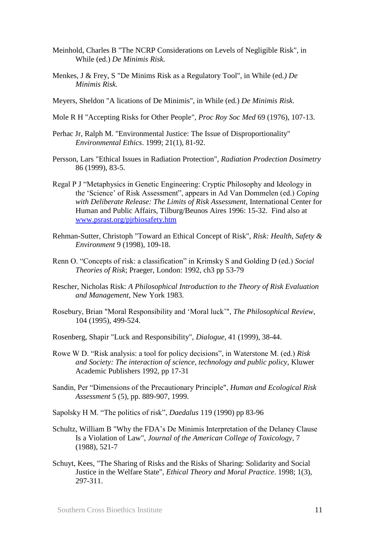- Meinhold, Charles B "The NCRP Considerations on Levels of Negligible Risk", in While (ed.) *De Minimis Risk.*
- Menkes, J & Frey, S "De Minims Risk as a Regulatory Tool", in While (ed*.) De Minimis Risk.*
- Meyers, Sheldon "A lications of De Minimis", in While (ed.) *De Minimis Risk*.
- Mole R H "Accepting Risks for Other People", *Proc Roy Soc Med* 69 (1976), 107-13.
- Perhac Jr, Ralph M. "Environmental Justice: The Issue of Disproportionality" *Environmental Ethics*. 1999; 21(1), 81-92.
- Persson, Lars "Ethical Issues in Radiation Protection", *Radiation Prodection Dosimetry* 86 (1999), 83-5.
- Regal P J "Metaphysics in Genetic Engineering: Cryptic Philosophy and Ideology in the "Science" of Risk Assessment", appears in Ad Van Dommelen (ed.) *Coping with Deliberate Release: The Limits of Risk Assessment,* International Center for Human and Public Affairs, Tilburg/Beunos Aires 1996: 15-32. Find also at [www.psrast.org/pjrbiosafety.htm](http://www.psrast.org/pjrbiosafety.htm)
- Rehman-Sutter, Christoph "Toward an Ethical Concept of Risk", *Risk: Health, Safety & Environment* 9 (1998), 109-18.
- Renn O. "Concepts of risk: a classification" in Krimsky S and Golding D (ed.) *Social Theories of Risk*; Praeger, London: 1992, ch3 pp 53-79
- Rescher, Nicholas Risk: *A Philosophical Introduction to the Theory of Risk Evaluation and Management*, New York 1983.
- Rosebury, Brian "Moral Responsibility and "Moral luck"", *The Philosophical Review*, 104 (1995), 499-524.
- Rosenberg, Shapir "Luck and Responsibility", *Dialogue*, 41 (1999), 38-44.
- Rowe W D. "Risk analysis: a tool for policy decisions", in Waterstone M. (ed.) *Risk and Society: The interaction of science, technology and public policy*, Kluwer Academic Publishers 1992, pp 17-31
- Sandin, Per "Dimensions of the Precautionary Principle", *Human and Ecological Risk Assessment* 5 (5), pp. 889-907, 1999.

Sapolsky H M. "The politics of risk", *Daedalus* 119 (1990) pp 83-96

- Schultz, William B "Why the FDA"s De Minimis Interpretation of the Delaney Clause Is a Violation of Law", *Journal of the American College of Toxicology*, 7 (1988), 521-7
- Schuyt, Kees, "The Sharing of Risks and the Risks of Sharing: Solidarity and Social Justice in the Welfare State", *Ethical Theory and Moral Practice*. 1998; 1(3), 297-311.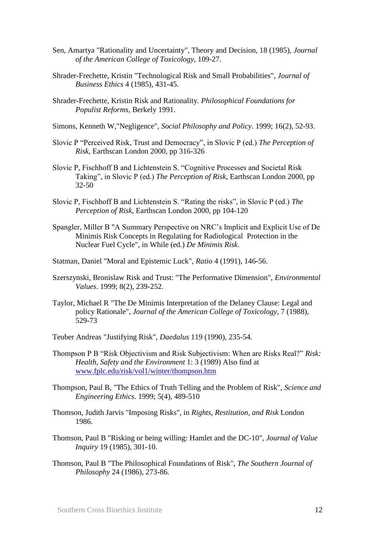- Sen, Amartya "Rationality and Uncertainty", Theory and Decision, 18 (1985), *Journal of the American College of Toxicology*, 109-27.
- Shrader-Frechette, Kristin "Technological Risk and Small Probabilities", *Journal of Business Ethics* 4 (1985), 431-45.
- Shrader-Frechette, Kristin Risk and Rationality. *Philosophical Foundations for Populist Reforms*, Berkely 1991.
- Simons, Kenneth W,"Negligence", *Social Philosophy and Policy*. 1999; 16(2), 52-93.
- Slovic P "Perceived Risk, Trust and Democracy", in Slovic P (ed.) *The Perception of Risk*, Earthscan London 2000, pp 316-326
- Slovic P, Fischhoff B and Lichtenstein S. "Cognitive Processes and Societal Risk Taking", in Slovic P (ed.) *The Perception of Risk*, Earthscan London 2000, pp 32-50
- Slovic P, Fischhoff B and Lichtenstein S. "Rating the risks", in Slovic P (ed.) *The Perception of Risk*, Earthscan London 2000, pp 104-120
- Spangler, Miller B "A Summary Perspective on NRC"s Implicit and Explicit Use of De Minimis Risk Concepts in Regulating for Radiological Protection in the Nuclear Fuel Cycle", in While (ed.) *De Minimis Risk*.
- Statman, Daniel "Moral and Epistemic Luck", *Ratio* 4 (1991), 146-56.
- Szerszynski, Bronislaw Risk and Trust: "The Performative Dimension", *Environmental Values*. 1999; 8(2), 239-252.
- Taylor, Michael R "The De Minimis Interpretation of the Delaney Clause: Legal and policy Rationale", *Journal of the American College of Toxicology*, 7 (1988), 529-73
- Teuber Andreas "Justifying Risk", *Daedalus* 119 (1990), 235-54.
- Thompson P B "Risk Objectivism and Risk Subjectivism: When are Risks Real?" *Risk: Health, Safety and the Environment* 1: 3 (1989) Also find at [www.fplc.edu/risk/vol1/winter/thompson.htm](http://www.fplc.edu/risk/vol1/winter/thompson.htm)
- Thompson, Paul B, "The Ethics of Truth Telling and the Problem of Risk", *Science and Engineering Ethics*. 1999; 5(4), 489-510
- Thomson, Judith Jarvis "Imposing Risks", in *Rights, Restitution, and Risk* London 1986.
- Thomson, Paul B "Risking or being willing: Hamlet and the DC-10", *Journal of Value Inquiry* 19 (1985), 301-10.
- Thomson, Paul B "The Philosophical Foundations of Risk", *The Southern Journal of Philosophy* 24 (1986), 273-86.